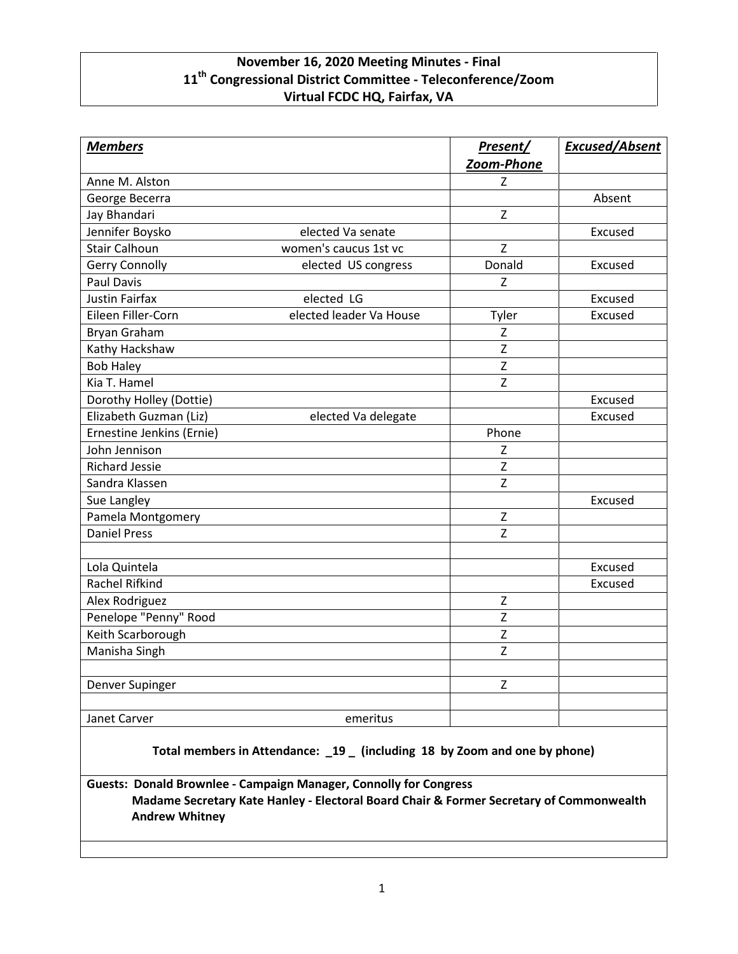## **November 16, 2020 Meeting Minutes - Final 11th Congressional District Committee - Teleconference/Zoom Virtual FCDC HQ, Fairfax, VA**

| <b>Members</b>            |                         | Present/     | <b>Excused/Absent</b> |
|---------------------------|-------------------------|--------------|-----------------------|
|                           |                         | Zoom-Phone   |                       |
| Anne M. Alston            |                         | z            |                       |
| George Becerra            |                         |              | Absent                |
| Jay Bhandari              |                         | $\mathsf{Z}$ |                       |
| Jennifer Boysko           | elected Va senate       |              | Excused               |
| <b>Stair Calhoun</b>      | women's caucus 1st vc   | Z            |                       |
| <b>Gerry Connolly</b>     | elected US congress     | Donald       | Excused               |
| <b>Paul Davis</b>         |                         | Z            |                       |
| <b>Justin Fairfax</b>     | elected LG              |              | Excused               |
| Eileen Filler-Corn        | elected leader Va House | Tyler        | Excused               |
| Bryan Graham              |                         | Z            |                       |
| Kathy Hackshaw            |                         | Z            |                       |
| <b>Bob Haley</b>          |                         | Z            |                       |
| Kia T. Hamel              |                         | $\mathsf{Z}$ |                       |
| Dorothy Holley (Dottie)   |                         |              | Excused               |
| Elizabeth Guzman (Liz)    | elected Va delegate     |              | Excused               |
| Ernestine Jenkins (Ernie) |                         | Phone        |                       |
| John Jennison             |                         | Z            |                       |
| <b>Richard Jessie</b>     |                         | $\mathsf{Z}$ |                       |
| Sandra Klassen            |                         | Z            |                       |
| Sue Langley               |                         |              | Excused               |
| Pamela Montgomery         |                         | $\mathsf Z$  |                       |
| <b>Daniel Press</b>       |                         | Z            |                       |
|                           |                         |              |                       |
| Lola Quintela             |                         |              | Excused               |
| Rachel Rifkind            |                         |              | Excused               |
| Alex Rodriguez            |                         | $\mathsf{Z}$ |                       |
| Penelope "Penny" Rood     |                         | Z            |                       |
| Keith Scarborough         |                         | Z            |                       |
| Manisha Singh             |                         | Z            |                       |
|                           |                         |              |                       |
| Denver Supinger           |                         | Z            |                       |
|                           |                         |              |                       |
| Janet Carver              | emeritus                |              |                       |

**Total members in Attendance: \_19 \_ (including 18 by Zoom and one by phone)**

**Guests: Donald Brownlee - Campaign Manager, Connolly for Congress Madame Secretary Kate Hanley - Electoral Board Chair & Former Secretary of Commonwealth Andrew Whitney**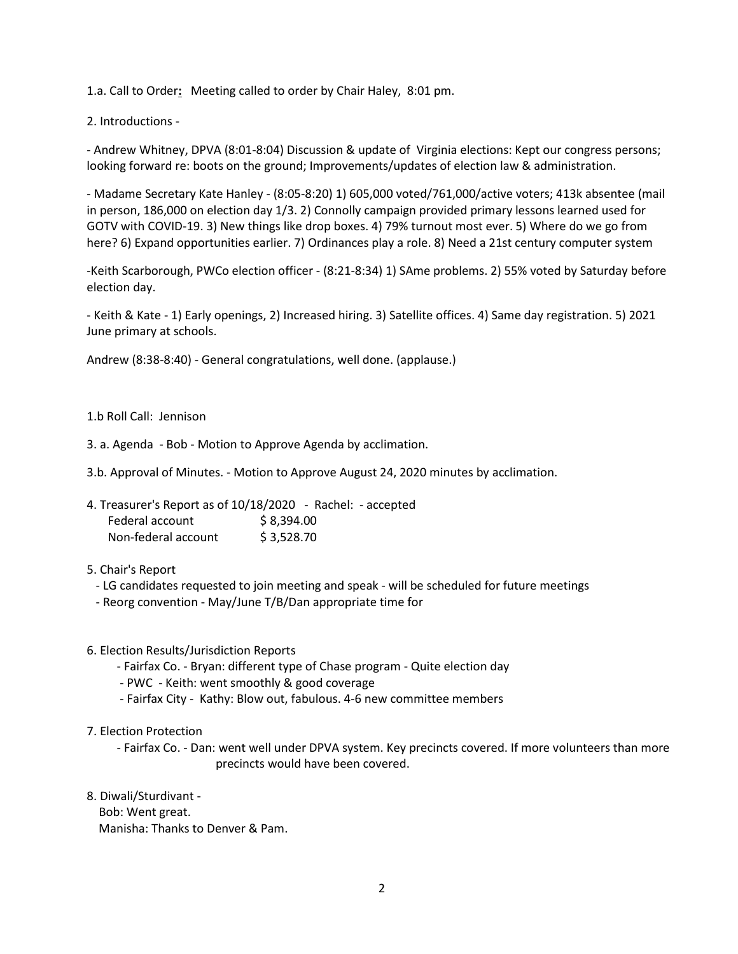1.a. Call to Order**:** Meeting called to order by Chair Haley, 8:01 pm.

2. Introductions -

- Andrew Whitney, DPVA (8:01-8:04) Discussion & update of Virginia elections: Kept our congress persons; looking forward re: boots on the ground; Improvements/updates of election law & administration.

- Madame Secretary Kate Hanley - (8:05-8:20) 1) 605,000 voted/761,000/active voters; 413k absentee (mail in person, 186,000 on election day 1/3. 2) Connolly campaign provided primary lessons learned used for GOTV with COVID-19. 3) New things like drop boxes. 4) 79% turnout most ever. 5) Where do we go from here? 6) Expand opportunities earlier. 7) Ordinances play a role. 8) Need a 21st century computer system

-Keith Scarborough, PWCo election officer - (8:21-8:34) 1) SAme problems. 2) 55% voted by Saturday before election day.

- Keith & Kate - 1) Early openings, 2) Increased hiring. 3) Satellite offices. 4) Same day registration. 5) 2021 June primary at schools.

Andrew (8:38-8:40) - General congratulations, well done. (applause.)

1.b Roll Call: Jennison

3. a. Agenda - Bob - Motion to Approve Agenda by acclimation.

3.b. Approval of Minutes. - Motion to Approve August 24, 2020 minutes by acclimation.

| 4. Treasurer's Report as of 10/18/2020 - Rachel: - accepted |            |  |
|-------------------------------------------------------------|------------|--|
| Federal account                                             | \$8.394.00 |  |
| Non-federal account                                         | \$3,528.70 |  |

## 5. Chair's Report

- LG candidates requested to join meeting and speak will be scheduled for future meetings
- Reorg convention May/June T/B/Dan appropriate time for
- 6. Election Results/Jurisdiction Reports
	- Fairfax Co. Bryan: different type of Chase program Quite election day
	- PWC Keith: went smoothly & good coverage
	- Fairfax City Kathy: Blow out, fabulous. 4-6 new committee members
- 7. Election Protection
	- Fairfax Co. Dan: went well under DPVA system. Key precincts covered. If more volunteers than more precincts would have been covered.
- 8. Diwali/Sturdivant
	- Bob: Went great. Manisha: Thanks to Denver & Pam.